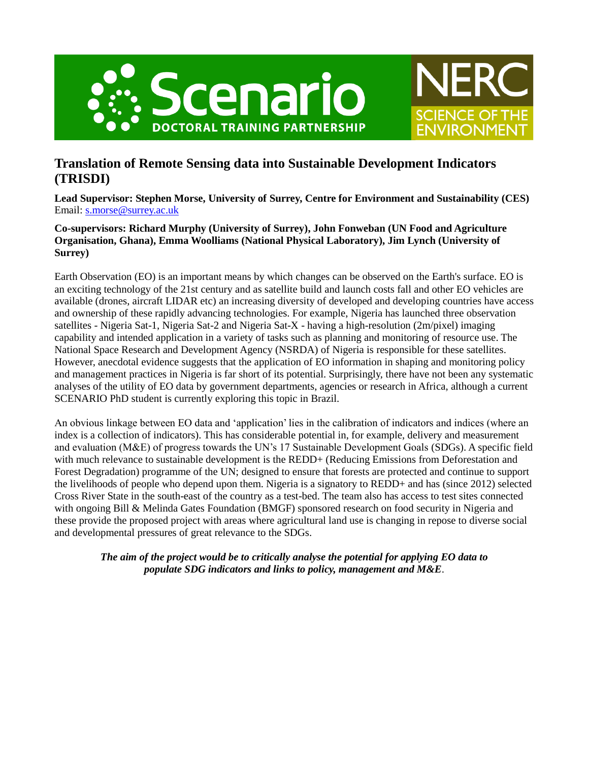



# **Translation of Remote Sensing data into Sustainable Development Indicators (TRISDI)**

**Lead Supervisor: Stephen Morse, University of Surrey, Centre for Environment and Sustainability (CES)** Email: [s.morse@surrey.ac.uk](mailto:s.morse@surrey.ac.uk)

## **Co-supervisors: Richard Murphy (University of Surrey), John Fonweban (UN Food and Agriculture Organisation, Ghana), Emma Woolliams (National Physical Laboratory), Jim Lynch (University of Surrey)**

Earth Observation (EO) is an important means by which changes can be observed on the Earth's surface. EO is an exciting technology of the 21st century and as satellite build and launch costs fall and other EO vehicles are available (drones, aircraft LIDAR etc) an increasing diversity of developed and developing countries have access and ownership of these rapidly advancing technologies. For example, Nigeria has launched three observation satellites - Nigeria Sat-1, Nigeria Sat-2 and Nigeria Sat-X - having a high-resolution (2m/pixel) imaging capability and intended application in a variety of tasks such as planning and monitoring of resource use. The National Space Research and Development Agency (NSRDA) of Nigeria is responsible for these satellites. However, anecdotal evidence suggests that the application of EO information in shaping and monitoring policy and management practices in Nigeria is far short of its potential. Surprisingly, there have not been any systematic analyses of the utility of EO data by government departments, agencies or research in Africa, although a current SCENARIO PhD student is currently exploring this topic in Brazil.

An obvious linkage between EO data and 'application' lies in the calibration of indicators and indices (where an index is a collection of indicators). This has considerable potential in, for example, delivery and measurement and evaluation (M&E) of progress towards the UN's 17 Sustainable Development Goals (SDGs). A specific field with much relevance to sustainable development is the REDD+ (Reducing Emissions from Deforestation and Forest Degradation) programme of the UN; designed to ensure that forests are protected and continue to support the livelihoods of people who depend upon them. Nigeria is a signatory to REDD+ and has (since 2012) selected Cross River State in the south-east of the country as a test-bed. The team also has access to test sites connected with ongoing Bill & Melinda Gates Foundation (BMGF) sponsored research on food security in Nigeria and these provide the proposed project with areas where agricultural land use is changing in repose to diverse social and developmental pressures of great relevance to the SDGs.

*The aim of the project would be to critically analyse the potential for applying EO data to populate SDG indicators and links to policy, management and M&E*.